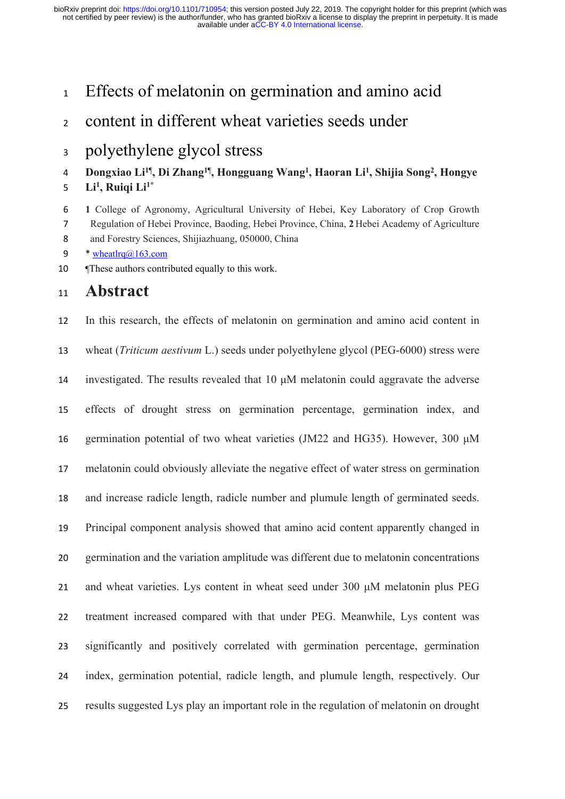Effects of melatonin on germination and amino acid

content in different wheat varieties seeds under

# polyethylene glycol stress

### **Dongxiao Li<sup>1</sup>**¶ **, Di Zhang<sup>1</sup>**¶ **, Hongguang Wang<sup>1</sup> , Haoran Li<sup>1</sup> , Shijia Song<sup>2</sup> , Hongye**

**Li<sup>1</sup> , Ruiqi Li1\***

 **1** College of Agronomy, Agricultural University of Hebei, Key Laboratory of Crop Growth Regulation of Hebei Province, Baoding, Hebei Province, China, **2** Hebei Academy of Agriculture

and Forestry Sciences, Shijiazhuang, 050000, China

- 9  $*$  wheatlrq $@163$ .com
- 10 These authors contributed equally to this work.

## **Abstract**

 In this research, the effects of melatonin on germination and amino acid content in wheat (*Triticum aestivum* L.) seeds under polyethylene glycol (PEG-6000) stress were investigated. The results revealed that 10 μM melatonin could aggravate the adverse effects of drought stress on germination percentage, germination index, and germination potential of two wheat varieties (JM22 and HG35). However, 300 μM melatonin could obviously alleviate the negative effect of water stress on germination and increase radicle length, radicle number and plumule length of germinated seeds. Principal component analysis showed that amino acid content apparently changed in germination and the variation amplitude was different due to melatonin concentrations and wheat varieties. Lys content in wheat seed under 300 μM melatonin plus PEG treatment increased compared with that under PEG. Meanwhile, Lys content was significantly and positively correlated with germination percentage, germination index, germination potential, radicle length, and plumule length, respectively. Our results suggested Lys play an important role in the regulation of melatonin on drought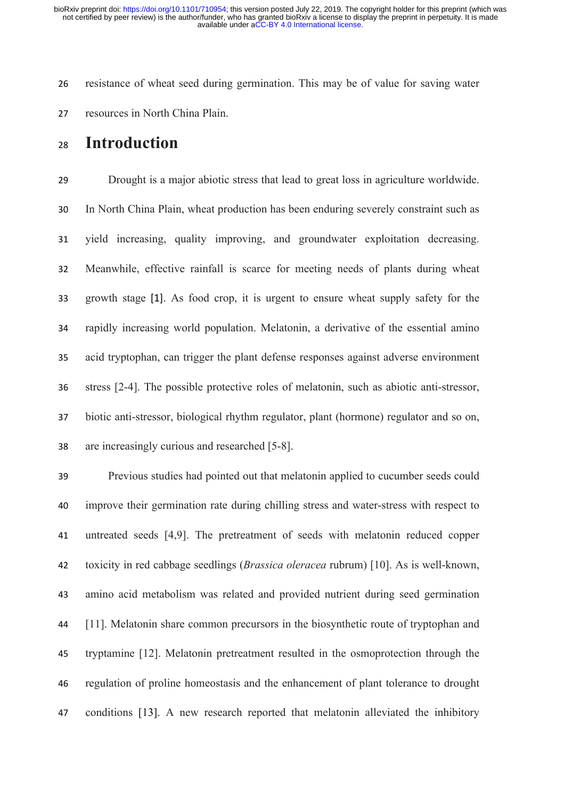resistance of wheat seed during germination. This may be of value for saving water resources in North China Plain.

## **Introduction**

 Drought is a major abiotic stress that lead to great loss in agriculture worldwide. In North China Plain, wheat production has been enduring severely constraint such as yield increasing, quality improving, and groundwater exploitation decreasing. Meanwhile, effective rainfall is scarce for meeting needs of plants during wheat growth stage [1]. As food crop, it is urgent to ensure wheat supply safety for the rapidly increasing world population. Melatonin, a derivative of the essential amino acid tryptophan, can trigger the plant defense responses against adverse environment stress [2-4]. The possible protective roles of melatonin, such as abiotic anti-stressor, biotic anti-stressor, biological rhythm regulator, plant (hormone) regulator and so on, are increasingly curious and researched [5-8].

 Previous studies had pointed out that melatonin applied to cucumber seeds could improve their germination rate during chilling stress and water-stress with respect to untreated seeds [4,9]. The pretreatment of seeds with melatonin reduced copper toxicity in red cabbage seedlings (*Brassica oleracea* rubrum) [10]. As is well-known, amino acid metabolism was related and provided nutrient during seed germination [11]. Melatonin share common precursors in the biosynthetic route of tryptophan and tryptamine [12]. Melatonin pretreatment resulted in the osmoprotection through the regulation of proline homeostasis and the enhancement of plant tolerance to drought conditions [13]. A new research reported that melatonin alleviated the inhibitory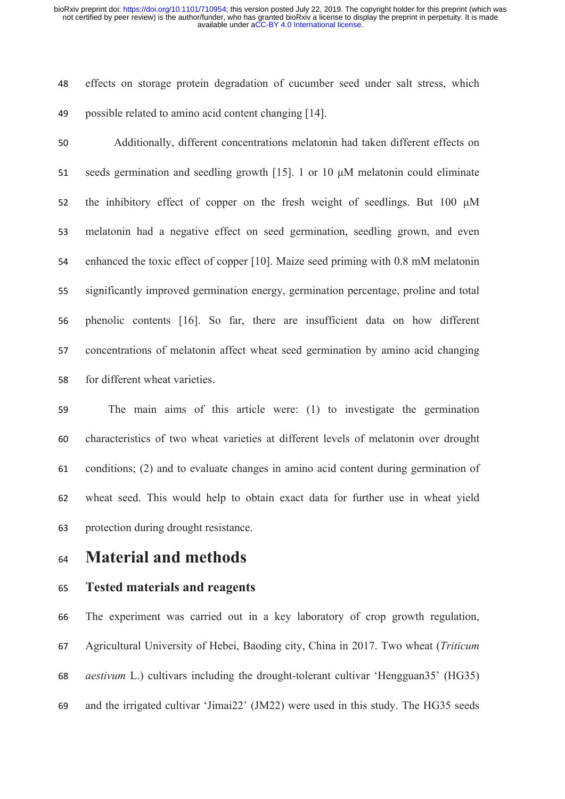effects on storage protein degradation of cucumber seed under salt stress, which possible related to amino acid content changing [14].

 Additionally, different concentrations melatonin had taken different effects on seeds germination and seedling growth [15]. 1 or 10 μM melatonin could eliminate 52 the inhibitory effect of copper on the fresh weight of seedlings. But 100  $\mu$ M melatonin had a negative effect on seed germination, seedling grown, and even enhanced the toxic effect of copper [10]. Maize seed priming with 0.8 mM melatonin significantly improved germination energy, germination percentage, proline and total phenolic contents [16]. So far, there are insufficient data on how different concentrations of melatonin affect wheat seed germination by amino acid changing for different wheat varieties.

 The main aims of this article were: (1) to investigate the germination characteristics of two wheat varieties at different levels of melatonin over drought conditions; (2) and to evaluate changes in amino acid content during germination of wheat seed. This would help to obtain exact data for further use in wheat yield protection during drought resistance.

# **Material and methods**

#### **Tested materials and reagents**

 The experiment was carried out in a key laboratory of crop growth regulation, Agricultural University of Hebei, Baoding city, China in 2017. Two wheat (*Triticum aestivum* L.) cultivars including the drought-tolerant cultivar 'Hengguan35' (HG35) and the irrigated cultivar 'Jimai22' (JM22) were used in this study. The HG35 seeds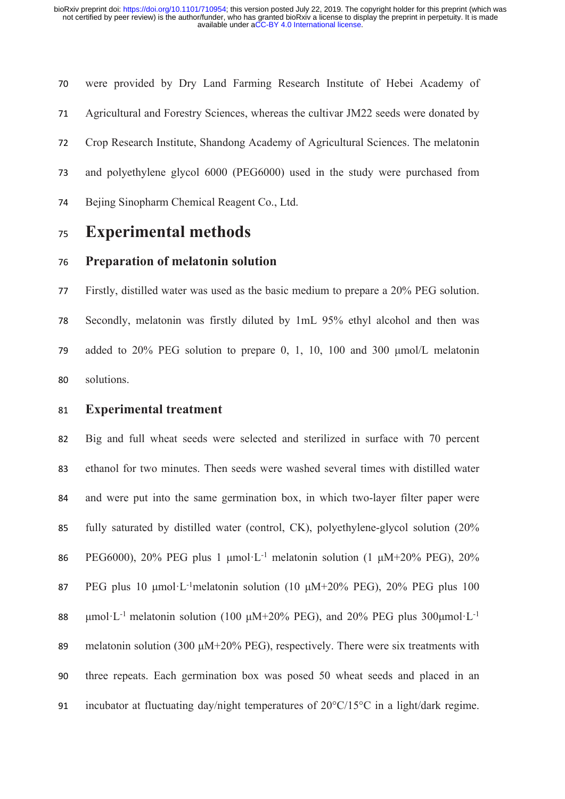were provided by Dry Land Farming Research Institute of Hebei Academy of Agricultural and Forestry Sciences, whereas the cultivar JM22 seeds were donated by Crop Research Institute, Shandong Academy of Agricultural Sciences. The melatonin and polyethylene glycol 6000 (PEG6000) used in the study were purchased from Bejing Sinopharm Chemical Reagent Co., Ltd.

## **Experimental methods**

#### **Preparation of melatonin solution**

 Firstly, distilled water was used as the basic medium to prepare a 20% PEG solution. Secondly, melatonin was firstly diluted by 1mL 95% ethyl alcohol and then was added to 20% PEG solution to prepare 0, 1, 10, 100 and 300 μmol/L melatonin solutions.

#### **Experimental treatment**

 Big and full wheat seeds were selected and sterilized in surface with 70 percent ethanol for two minutes. Then seeds were washed several times with distilled water and were put into the same germination box, in which two-layer filter paper were fully saturated by distilled water (control, CK), polyethylene-glycol solution (20% 86 PEG6000), 20% PEG plus 1  $\mu$ mol·L<sup>-1</sup> melatonin solution (1  $\mu$ M+20% PEG), 20% PEG plus 10 μmol·L-1melatonin solution (10 μM+20% PEG), 20% PEG plus 100 88 μmol·L<sup>-1</sup> melatonin solution (100  $\mu$ M+20% PEG), and 20% PEG plus 300 $\mu$ mol·L<sup>-1</sup> 89 melatonin solution (300  $\mu$ M+20% PEG), respectively. There were six treatments with three repeats. Each germination box was posed 50 wheat seeds and placed in an 91 incubator at fluctuating day/night temperatures of  $20^{\circ}$ C/15°C in a light/dark regime.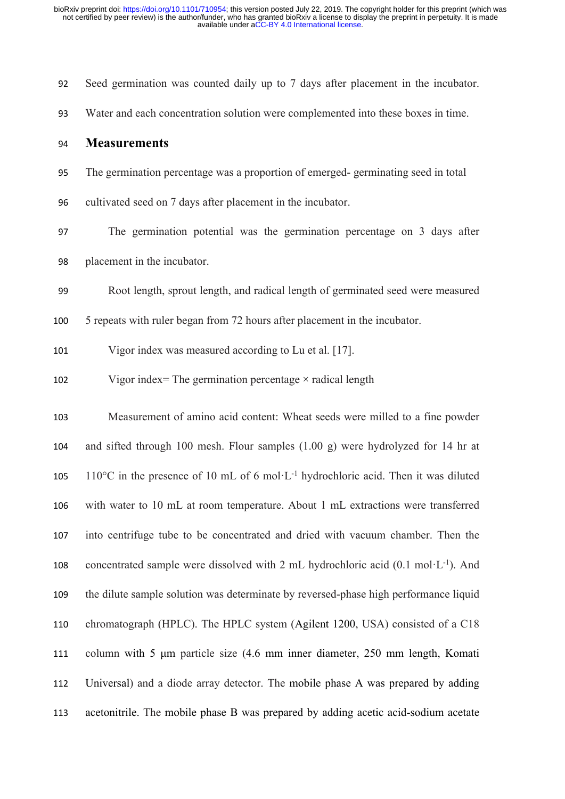| 92  | Seed germination was counted daily up to 7 days after placement in the incubator.                     |
|-----|-------------------------------------------------------------------------------------------------------|
| 93  | Water and each concentration solution were complemented into these boxes in time.                     |
| 94  | <b>Measurements</b>                                                                                   |
| 95  | The germination percentage was a proportion of emerged-germinating seed in total                      |
| 96  | cultivated seed on 7 days after placement in the incubator.                                           |
| 97  | The germination potential was the germination percentage on 3 days after                              |
| 98  | placement in the incubator.                                                                           |
| 99  | Root length, sprout length, and radical length of germinated seed were measured                       |
| 100 | 5 repeats with ruler began from 72 hours after placement in the incubator.                            |
| 101 | Vigor index was measured according to Lu et al. [17].                                                 |
| 102 | Vigor index= The germination percentage $\times$ radical length                                       |
| 103 | Measurement of amino acid content: Wheat seeds were milled to a fine powder                           |
| 104 | and sifted through 100 mesh. Flour samples (1.00 g) were hydrolyzed for 14 hr at                      |
| 105 | 110°C in the presence of 10 mL of 6 mol·L <sup>-1</sup> hydrochloric acid. Then it was diluted        |
| 106 | with water to 10 mL at room temperature. About 1 mL extractions were transferred                      |
| 107 | into centrifuge tube to be concentrated and dried with vacuum chamber. Then the                       |
| 108 | concentrated sample were dissolved with 2 mL hydrochloric acid $(0.1 \text{ mol} \cdot L^{-1})$ . And |
| 109 | the dilute sample solution was determinate by reversed-phase high performance liquid                  |
| 110 | chromatograph (HPLC). The HPLC system (Agilent 1200, USA) consisted of a C18                          |
| 111 | column with 5 µm particle size (4.6 mm inner diameter, 250 mm length, Komati                          |
| 112 | Universal) and a diode array detector. The mobile phase A was prepared by adding                      |
| 113 | acetonitrile. The mobile phase B was prepared by adding acetic acid-sodium acetate                    |
|     |                                                                                                       |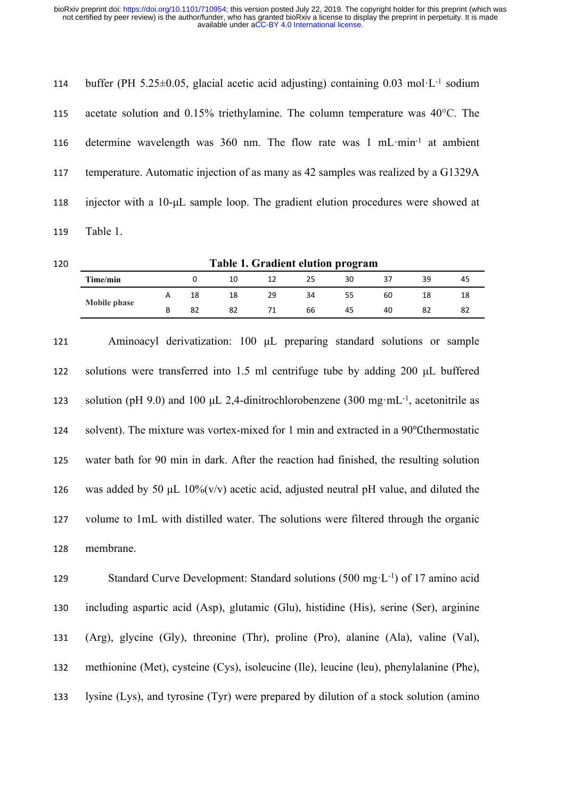| 114 | buffer (PH 5.25 $\pm$ 0.05, glacial acetic acid adjusting) containing 0.03 mol·L <sup>-1</sup> sodium |
|-----|-------------------------------------------------------------------------------------------------------|
| 115 | acetate solution and $0.15\%$ triethylamine. The column temperature was $40^{\circ}$ C. The           |
| 116 | determine wavelength was $360$ nm. The flow rate was $1 \text{ mL-min}^{-1}$ at ambient               |
| 117 | temperature. Automatic injection of as many as 42 samples was realized by a G1329A                    |
| 118 | injector with a $10-\mu L$ sample loop. The gradient elution procedures were showed at                |
| 119 | Table 1.                                                                                              |

| 120 | Table 1. Gradient elution program |   |    |    |    |    |    |    |    |    |  |
|-----|-----------------------------------|---|----|----|----|----|----|----|----|----|--|
|     | Time/min                          |   |    | 10 |    | 25 | 30 | 37 | 39 | 45 |  |
|     |                                   | A | 18 | 18 | 29 | 34 | 55 | 60 |    | 18 |  |
|     | Mobile phase                      | B | 82 | 82 |    | 66 | 45 | 40 | 82 | 82 |  |

 Aminoacyl derivatization: 100 μL preparing standard solutions or sample 122 solutions were transferred into 1.5 ml centrifuge tube by adding 200 μL buffered solution (pH 9.0) and 100 μL 2,4-dinitrochlorobenzene (300 mg·mL-1, acetonitrile as 124 solvent). The mixture was vortex-mixed for 1 min and extracted in a 90°C thermostatic water bath for 90 min in dark. After the reaction had finished, the resulting solution 126 was added by 50  $\mu$ L 10%(v/v) acetic acid, adjusted neutral pH value, and diluted the volume to 1mL with distilled water. The solutions were filtered through the organic membrane.

129 Standard Curve Development: Standard solutions (500 mg·L<sup>-1</sup>) of 17 amino acid including aspartic acid (Asp), glutamic (Glu), histidine (His), serine (Ser), arginine (Arg), glycine (Gly), threonine (Thr), proline (Pro), alanine (Ala), valine (Val), methionine (Met), cysteine (Cys), isoleucine (Ile), leucine (leu), phenylalanine (Phe), lysine (Lys), and tyrosine (Tyr) were prepared by dilution of a stock solution (amino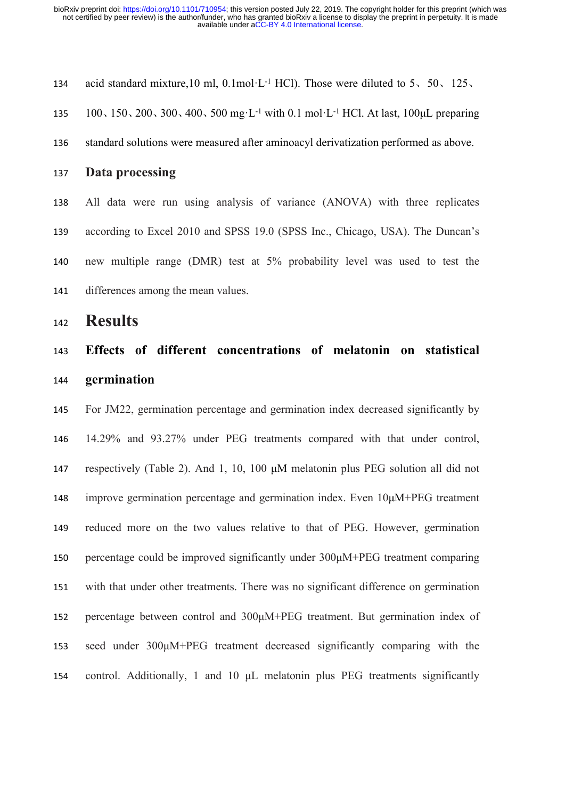acid standard mixture,10 ml, 0.1mol·L-1 HCl). Those were diluted to 5、50、125、

100、150、200、300、400、500 mg·L-1 with 0.1 mol·L-1 HCl. At last, 100μL preparing

- standard solutions were measured after aminoacyl derivatization performed as above.
- **Data processing**

 All data were run using analysis of variance (ANOVA) with three replicates according to Excel 2010 and SPSS 19.0 (SPSS Inc., Chicago, USA). The Duncan's new multiple range (DMR) test at 5% probability level was used to test the differences among the mean values.

**Results**

# **Effects of different concentrations of melatonin on statistical germination**

 For JM22, germination percentage and germination index decreased significantly by 14.29% and 93.27% under PEG treatments compared with that under control, respectively (Table 2). And 1, 10, 100 μM melatonin plus PEG solution all did not improve germination percentage and germination index. Even 10μM+PEG treatment reduced more on the two values relative to that of PEG. However, germination percentage could be improved significantly under 300μM+PEG treatment comparing with that under other treatments. There was no significant difference on germination percentage between control and 300μM+PEG treatment. But germination index of seed under 300μM+PEG treatment decreased significantly comparing with the control. Additionally, 1 and 10 μL melatonin plus PEG treatments significantly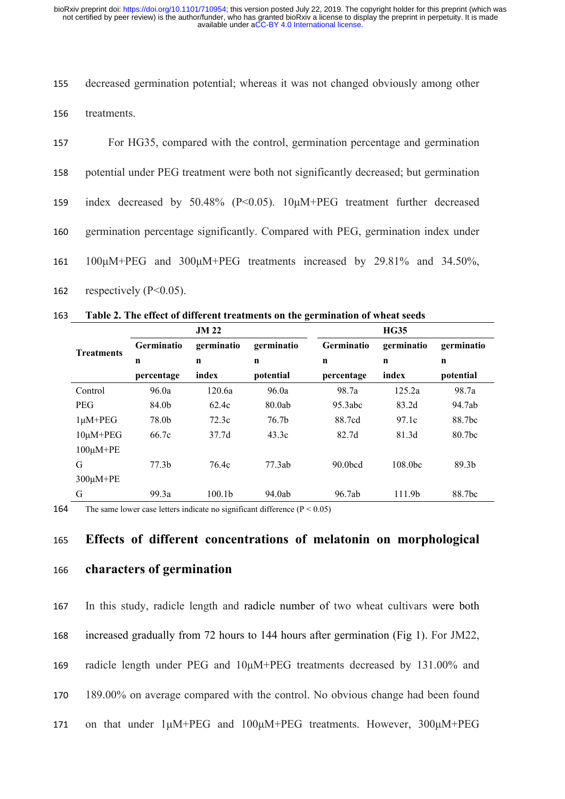155 decreased germination potential; whereas it was not changed obviously among other 156 treatments.

 For HG35, compared with the control, germination percentage and germination potential under PEG treatment were both not significantly decreased; but germination index decreased by 50.48% (P<0.05). 10μM+PEG treatment further decreased germination percentage significantly. Compared with PEG, germination index under 161 100μM+PEG and 300μM+PEG treatments increased by 29.81% and 34.50%.

162 respectively (P<0.05).

163 **Table 2. The effect of different treatments on the germination of wheat seeds**

|                   |                   | <b>JM 22</b>       |            |                     | <b>HG35</b>        |                    |  |
|-------------------|-------------------|--------------------|------------|---------------------|--------------------|--------------------|--|
| <b>Treatments</b> | <b>Germinatio</b> | germinatio         | germinatio | <b>Germinatio</b>   | germinatio         | germinatio         |  |
|                   | $\mathbf n$       | $\mathbf n$        | n          | $\mathbf n$         | $\mathbf n$        | $\mathbf n$        |  |
|                   | percentage        | index              | potential  | percentage          | index              | potential          |  |
| Control           | 96.0a             | 120.6a             | 96.0a      | 98.7a               | 125.2a             | 98.7a              |  |
| <b>PEG</b>        | 84.0b             | 62.4c              | 80.0ab     | 95.3abc             | 83.2d              | 94.7ab             |  |
| $1\mu$ M+PEG      | 78.0b             | 72.3c              | 76.7b      | 88.7cd              | 97.1c              | 88.7bc             |  |
| $10\mu$ M+PEG     | 66.7c             | 37.7d              | 43.3c      | 82.7d               | 81.3d              | 80.7bc             |  |
| $100\mu$ M+PE     |                   |                    |            |                     |                    |                    |  |
| G                 | 77.3 <sub>b</sub> | 76.4c              | 77.3ab     | 90.0 <sub>bcd</sub> | 108.0bc            | 89.3 <sub>b</sub>  |  |
| $300\mu$ M+PE     |                   |                    |            |                     |                    |                    |  |
| G                 | 99.3a             | 100.1 <sub>b</sub> | 94.0ab     | 96.7ab              | 111.9 <sub>b</sub> | 88.7 <sub>bc</sub> |  |

164 The same lower case letters indicate no significant difference  $(P < 0.05)$ 

### 165 **Effects of different concentrations of melatonin on morphological**

166 **characters of germination** 

 In this study, radicle length and radicle number of two wheat cultivars were both increased gradually from 72 hours to 144 hours after germination (Fig 1). For JM22, radicle length under PEG and 10μM+PEG treatments decreased by 131.00% and 189.00% on average compared with the control. No obvious change had been found on that under 1μM+PEG and 100μM+PEG treatments. However, 300μM+PEG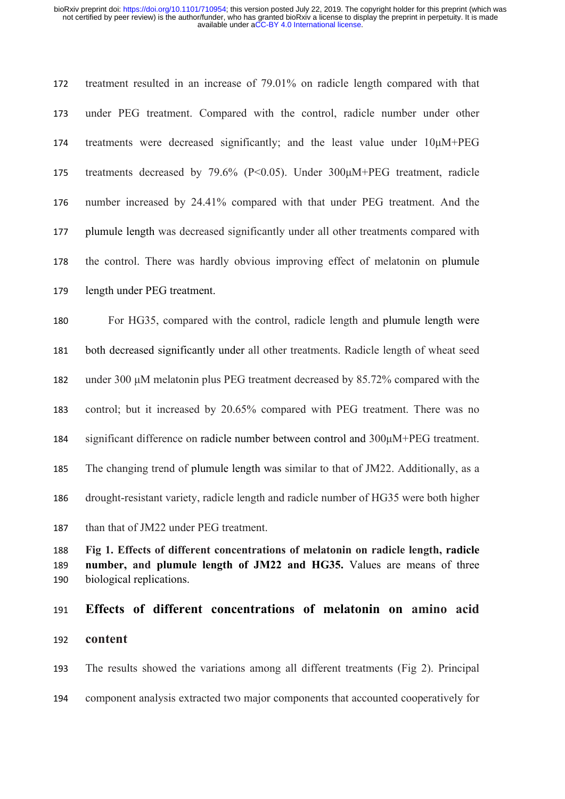treatment resulted in an increase of 79.01% on radicle length compared with that under PEG treatment. Compared with the control, radicle number under other treatments were decreased significantly; and the least value under 10μM+PEG treatments decreased by 79.6% (P<0.05). Under 300μM+PEG treatment, radicle number increased by 24.41% compared with that under PEG treatment. And the plumule length was decreased significantly under all other treatments compared with the control. There was hardly obvious improving effect of melatonin on plumule length under PEG treatment.

 For HG35, compared with the control, radicle length and plumule length were both decreased significantly under all other treatments. Radicle length of wheat seed under 300 μM melatonin plus PEG treatment decreased by 85.72% compared with the control; but it increased by 20.65% compared with PEG treatment. There was no significant difference on radicle number between control and 300μM+PEG treatment. The changing trend of plumule length was similar to that of JM22. Additionally, as a drought-resistant variety, radicle length and radicle number of HG35 were both higher than that of JM22 under PEG treatment.

 **Fig 1. Effects of different concentrations of melatonin on radicle length, radicle number, and plumule length of JM22 and HG35.** Values are means of three biological replications.

# **Effects of different concentrations of melatonin on amino acid content**

 The results showed the variations among all different treatments (Fig 2). Principal component analysis extracted two major components that accounted cooperatively for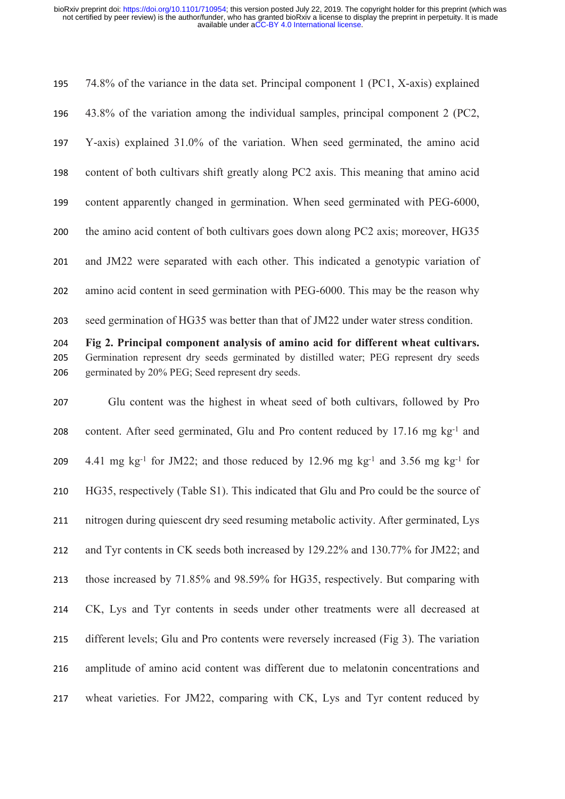74.8% of the variance in the data set. Principal component 1 (PC1, X-axis) explained 43.8% of the variation among the individual samples, principal component 2 (PC2, Y-axis) explained 31.0% of the variation. When seed germinated, the amino acid content of both cultivars shift greatly along PC2 axis. This meaning that amino acid content apparently changed in germination. When seed germinated with PEG-6000, the amino acid content of both cultivars goes down along PC2 axis; moreover, HG35 and JM22 were separated with each other. This indicated a genotypic variation of amino acid content in seed germination with PEG-6000. This may be the reason why seed germination of HG35 was better than that of JM22 under water stress condition. **Fig 2. Principal component analysis of amino acid for different wheat cultivars.**  Germination represent dry seeds germinated by distilled water; PEG represent dry seeds germinated by 20% PEG; Seed represent dry seeds. Glu content was the highest in wheat seed of both cultivars, followed by Pro content. After seed germinated, Glu and Pro content reduced by 17.16 mg kg-1 and  $4.41 \text{ mg kg}^{-1}$  for JM22; and those reduced by 12.96 mg kg<sup>-1</sup> and 3.56 mg kg<sup>-1</sup> for

 HG35, respectively (Table S1). This indicated that Glu and Pro could be the source of nitrogen during quiescent dry seed resuming metabolic activity. After germinated, Lys and Tyr contents in CK seeds both increased by 129.22% and 130.77% for JM22; and those increased by 71.85% and 98.59% for HG35, respectively. But comparing with CK, Lys and Tyr contents in seeds under other treatments were all decreased at different levels; Glu and Pro contents were reversely increased (Fig 3). The variation amplitude of amino acid content was different due to melatonin concentrations and wheat varieties. For JM22, comparing with CK, Lys and Tyr content reduced by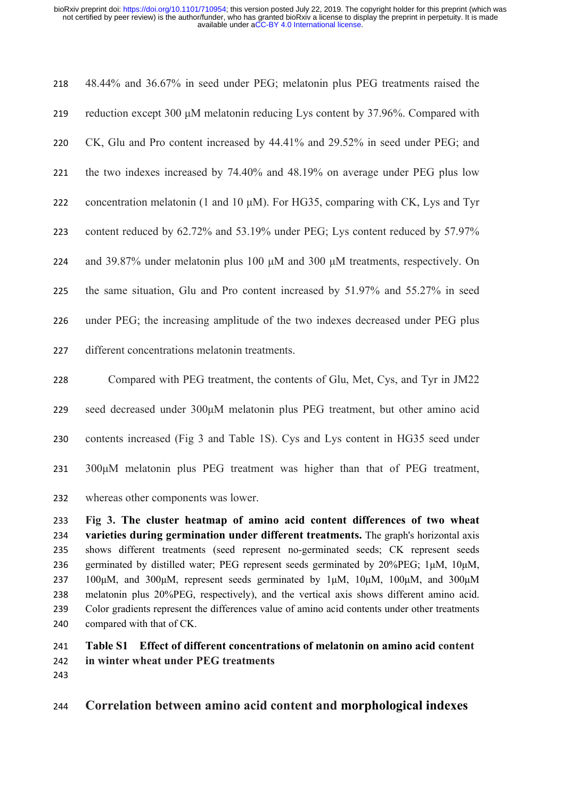| 218 | 48.44% and 36.67% in seed under PEG; melatonin plus PEG treatments raised the            |
|-----|------------------------------------------------------------------------------------------|
| 219 | reduction except 300 μM melatonin reducing Lys content by 37.96%. Compared with          |
| 220 | CK, Glu and Pro content increased by 44.41% and 29.52% in seed under PEG; and            |
| 221 | the two indexes increased by 74.40% and 48.19% on average under PEG plus low             |
| 222 | concentration melatonin (1 and 10 μM). For HG35, comparing with CK, Lys and Tyr          |
| 223 | content reduced by 62.72% and 53.19% under PEG; Lys content reduced by 57.97%            |
| 224 | and 39.87% under melatonin plus 100 $\mu$ M and 300 $\mu$ M treatments, respectively. On |
| 225 | the same situation, Glu and Pro content increased by 51.97% and 55.27% in seed           |
| 226 | under PEG; the increasing amplitude of the two indexes decreased under PEG plus          |
| 227 | different concentrations melatonin treatments.                                           |
| 228 | Compared with PEG treatment, the contents of Glu, Met, Cys, and Tyr in JM22              |
| 229 | seed decreased under 300µM melatonin plus PEG treatment, but other amino acid            |
|     |                                                                                          |

- contents increased (Fig 3 and Table 1S). Cys and Lys content in HG35 seed under
- 300μM melatonin plus PEG treatment was higher than that of PEG treatment,
- whereas other components was lower.

 **Fig 3. The cluster heatmap of amino acid content differences of two wheat varieties during germination under different treatments.** The graph's horizontal axis shows different treatments (seed represent no-germinated seeds; CK represent seeds germinated by distilled water; PEG represent seeds germinated by 20%PEG; 1μM, 10μM, 237 100μM, and 300μM, represent seeds germinated by  $1\mu$ M,  $10\mu$ M,  $100\mu$ M, and  $300\mu$ M melatonin plus 20%PEG, respectively), and the vertical axis shows different amino acid. Color gradients represent the differences value of amino acid contents under other treatments compared with that of CK.

# **Table S1 Effect of different concentrations of melatonin on amino acid content in winter wheat under PEG treatments**

**Correlation between amino acid content and morphological indexes**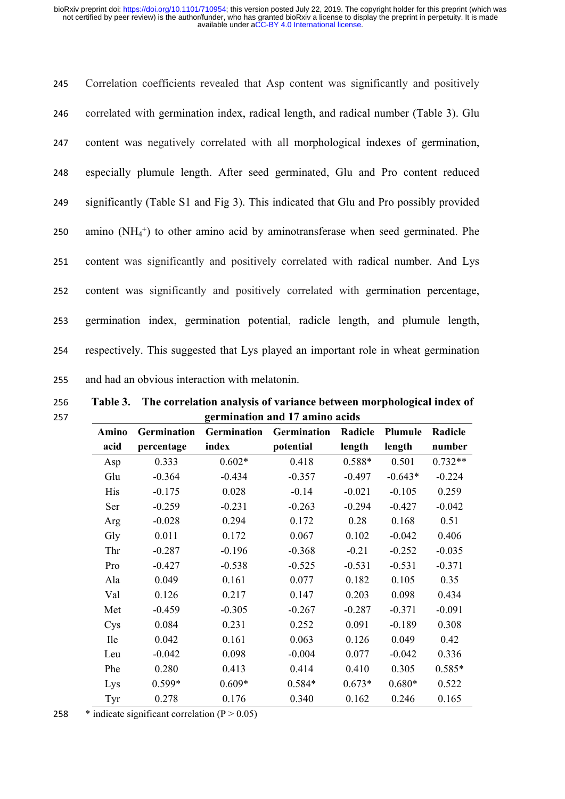| 245 | Correlation coefficients revealed that Asp content was significantly and positively   |
|-----|---------------------------------------------------------------------------------------|
| 246 | correlated with germination index, radical length, and radical number (Table 3). Glu  |
| 247 | content was negatively correlated with all morphological indexes of germination,      |
| 248 | especially plumule length. After seed germinated, Glu and Pro content reduced         |
| 249 | significantly (Table S1 and Fig 3). This indicated that Glu and Pro possibly provided |
| 250 | amino $(NH_4^+)$ to other amino acid by aminotransferase when seed germinated. Phe    |
| 251 | content was significantly and positively correlated with radical number. And Lys      |
| 252 | content was significantly and positively correlated with germination percentage,      |
| 253 | germination index, germination potential, radicle length, and plumule length,         |
| 254 | respectively. This suggested that Lys played an important role in wheat germination   |
| 255 | and had an obvious interaction with melatonin.                                        |

256 **Table 3. The correlation analysis of variance between morphological index of**  257 **germination and 17 amino acids**

|              | germination and 17 annilo acids |             |             |          |           |           |  |  |
|--------------|---------------------------------|-------------|-------------|----------|-----------|-----------|--|--|
| <b>Amino</b> | Germination                     | Germination | Germination | Radicle  | Plumule   | Radicle   |  |  |
| acid         | percentage                      | index       | potential   | length   | length    | number    |  |  |
| Asp          | 0.333                           | $0.602*$    | 0.418       | 0.588*   | 0.501     | $0.732**$ |  |  |
| Glu          | $-0.364$                        | $-0.434$    | $-0.357$    | $-0.497$ | $-0.643*$ | $-0.224$  |  |  |
| His          | $-0.175$                        | 0.028       | $-0.14$     | $-0.021$ | $-0.105$  | 0.259     |  |  |
| Ser          | $-0.259$                        | $-0.231$    | $-0.263$    | $-0.294$ | $-0.427$  | $-0.042$  |  |  |
| Arg          | $-0.028$                        | 0.294       | 0.172       | 0.28     | 0.168     | 0.51      |  |  |
| Gly          | 0.011                           | 0.172       | 0.067       | 0.102    | $-0.042$  | 0.406     |  |  |
| Thr          | $-0.287$                        | $-0.196$    | $-0.368$    | $-0.21$  | $-0.252$  | $-0.035$  |  |  |
| Pro          | $-0.427$                        | $-0.538$    | $-0.525$    | $-0.531$ | $-0.531$  | $-0.371$  |  |  |
| Ala          | 0.049                           | 0.161       | 0.077       | 0.182    | 0.105     | 0.35      |  |  |
| Val          | 0.126                           | 0.217       | 0.147       | 0.203    | 0.098     | 0.434     |  |  |
| Met          | $-0.459$                        | $-0.305$    | $-0.267$    | $-0.287$ | $-0.371$  | $-0.091$  |  |  |
| Cys          | 0.084                           | 0.231       | 0.252       | 0.091    | $-0.189$  | 0.308     |  |  |
| <b>Ile</b>   | 0.042                           | 0.161       | 0.063       | 0.126    | 0.049     | 0.42      |  |  |
| Leu          | $-0.042$                        | 0.098       | $-0.004$    | 0.077    | $-0.042$  | 0.336     |  |  |
| Phe          | 0.280                           | 0.413       | 0.414       | 0.410    | 0.305     | $0.585*$  |  |  |
| Lys          | $0.599*$                        | $0.609*$    | $0.584*$    | $0.673*$ | $0.680*$  | 0.522     |  |  |
| Tyr          | 0.278                           | 0.176       | 0.340       | 0.162    | 0.246     | 0.165     |  |  |

258  $*$  indicate significant correlation (P  $> 0.05$ )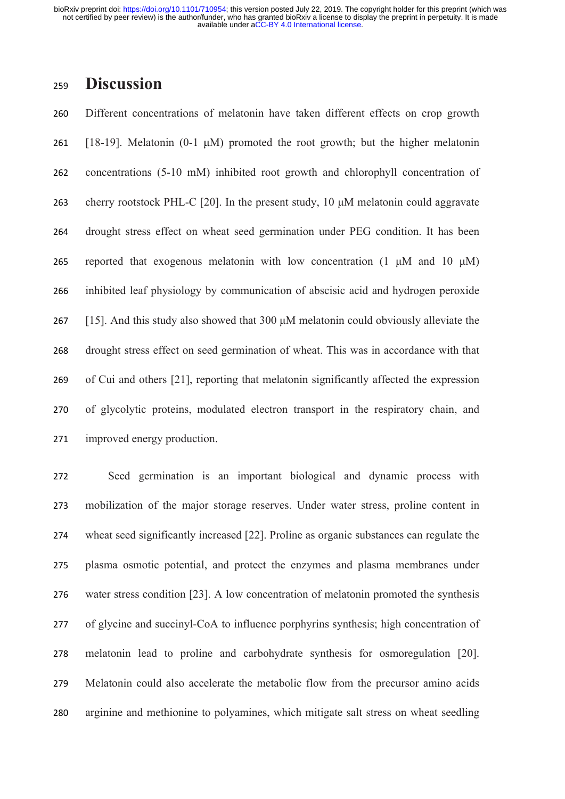# **Discussion**

 Different concentrations of melatonin have taken different effects on crop growth [18-19]. Melatonin (0-1 μM) promoted the root growth; but the higher melatonin concentrations (5-10 mM) inhibited root growth and chlorophyll concentration of cherry rootstock PHL-C [20]. In the present study, 10 μM melatonin could aggravate drought stress effect on wheat seed germination under PEG condition. It has been 265 reported that exogenous melatonin with low concentration  $(1 \mu M)$  and  $(10 \mu M)$  inhibited leaf physiology by communication of abscisic acid and hydrogen peroxide [15]. And this study also showed that 300 μM melatonin could obviously alleviate the drought stress effect on seed germination of wheat. This was in accordance with that of Cui and others [21], reporting that melatonin significantly affected the expression of glycolytic proteins, modulated electron transport in the respiratory chain, and improved energy production.

 Seed germination is an important biological and dynamic process with mobilization of the major storage reserves. Under water stress, proline content in wheat seed significantly increased [22]. Proline as organic substances can regulate the plasma osmotic potential, and protect the enzymes and plasma membranes under water stress condition [23]. A low concentration of melatonin promoted the synthesis of glycine and succinyl-CoA to influence porphyrins synthesis; high concentration of melatonin lead to proline and carbohydrate synthesis for osmoregulation [20]. Melatonin could also accelerate the metabolic flow from the precursor amino acids arginine and methionine to polyamines, which mitigate salt stress on wheat seedling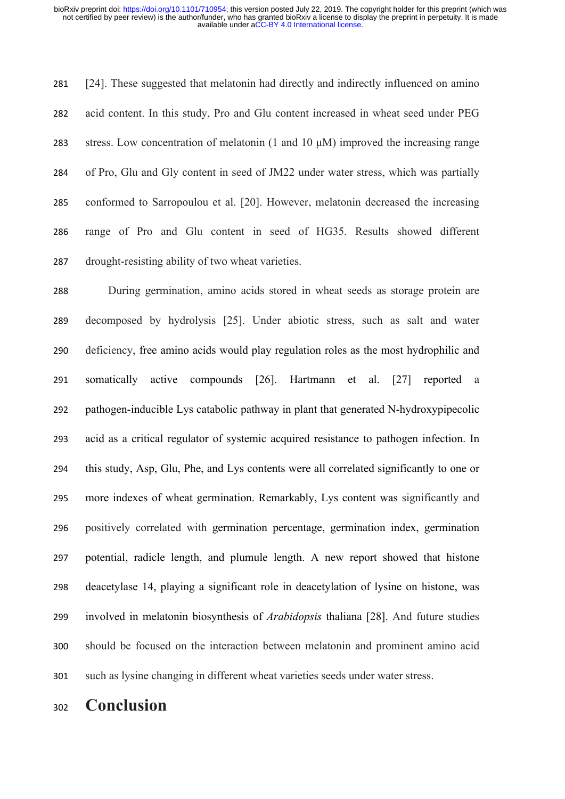[24]. These suggested that melatonin had directly and indirectly influenced on amino acid content. In this study, Pro and Glu content increased in wheat seed under PEG stress. Low concentration of melatonin (1 and 10 μM) improved the increasing range of Pro, Glu and Gly content in seed of JM22 under water stress, which was partially conformed to Sarropoulou et al. [20]. However, melatonin decreased the increasing range of Pro and Glu content in seed of HG35. Results showed different drought-resisting ability of two wheat varieties.

 During germination, amino acids stored in wheat seeds as storage protein are decomposed by hydrolysis [25]. Under abiotic stress, such as salt and water deficiency, free amino acids would play regulation roles as the most hydrophilic and somatically active compounds [26]. Hartmann et al. [27] reported a pathogen-inducible Lys catabolic pathway in plant that generated N-hydroxypipecolic acid as a critical regulator of systemic acquired resistance to pathogen infection. In this study, Asp, Glu, Phe, and Lys contents were all correlated significantly to one or more indexes of wheat germination. Remarkably, Lys content was significantly and positively correlated with germination percentage, germination index, germination potential, radicle length, and plumule length. A new report showed that histone deacetylase 14, playing a significant role in deacetylation of lysine on histone, was involved in melatonin biosynthesis of *Arabidopsis* thaliana [28]. And future studies should be focused on the interaction between melatonin and prominent amino acid such as lysine changing in different wheat varieties seeds under water stress.

**Conclusion**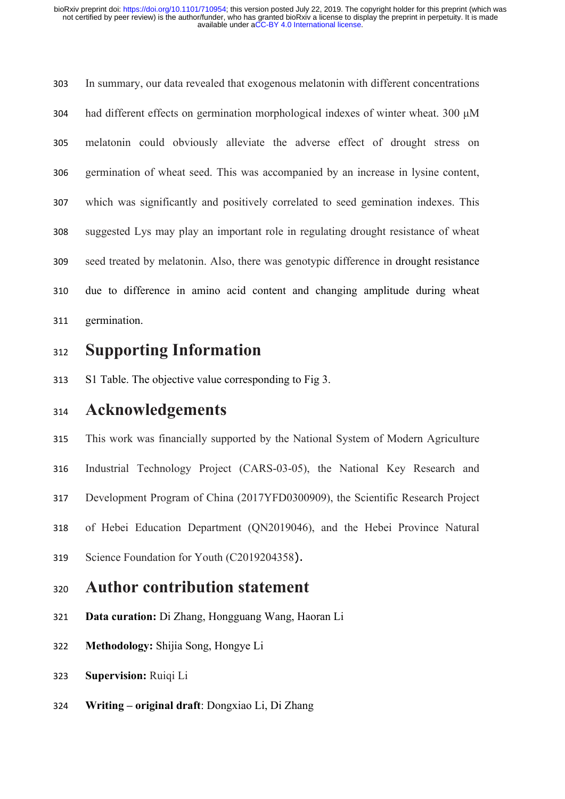In summary, our data revealed that exogenous melatonin with different concentrations had different effects on germination morphological indexes of winter wheat. 300 μM melatonin could obviously alleviate the adverse effect of drought stress on germination of wheat seed. This was accompanied by an increase in lysine content, which was significantly and positively correlated to seed gemination indexes. This suggested Lys may play an important role in regulating drought resistance of wheat seed treated by melatonin. Also, there was genotypic difference in drought resistance due to difference in amino acid content and changing amplitude during wheat germination.

# **Supporting Information**

S1 Table. The objective value corresponding to Fig 3.

# **Acknowledgements**

 This work was financially supported by the National System of Modern Agriculture Industrial Technology Project (CARS-03-05), the National Key Research and

Development Program of China (2017YFD0300909), the Scientific Research Project

of Hebei Education Department (QN2019046), and the Hebei Province Natural

Science Foundation for Youth (C2019204358).

# **Author contribution statement**

- **Data curation:** Di Zhang, Hongguang Wang, Haoran Li
- **Methodology:** Shijia Song, Hongye Li
- **Supervision:** Ruiqi Li
- **Writing original draft**: Dongxiao Li, Di Zhang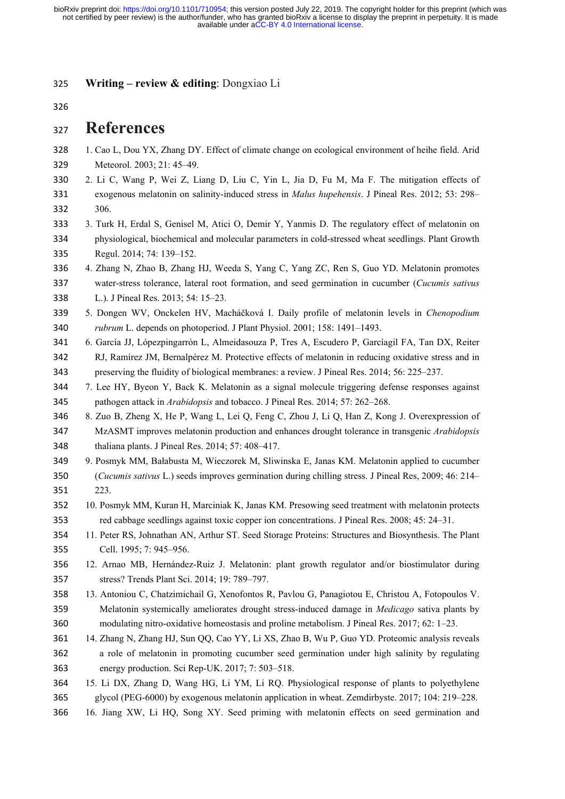**Writing – review & editing**: Dongxiao Li

# **References**

- 1. Cao L, Dou YX, Zhang DY. Effect of climate change on ecological environment of heihe field. Arid Meteorol. 2003; 21: 45–49.
- 2. Li C, Wang P, Wei Z, Liang D, Liu C, Yin L, Jia D, Fu M, Ma F. The mitigation effects of
- exogenous melatonin on salinity-induced stress in *Malus hupehensis*. J Pineal Res. 2012; 53: 298– 306.
- 3. Turk H, Erdal S, Genisel M, Atici O, Demir Y, Yanmis D. The regulatory effect of melatonin on physiological, biochemical and molecular parameters in cold-stressed wheat seedlings. Plant Growth Regul. 2014; 74: 139–152.
- 4. Zhang N, Zhao B, Zhang HJ, Weeda S, Yang C, Yang ZC, Ren S, Guo YD. Melatonin promotes water-stress tolerance, lateral root formation, and seed germination in cucumber (*Cucumis sativus* L.). J Pineal Res. 2013; 54: 15–23.
- 5. Dongen WV, Onckelen HV, Macháčková I. Daily profile of melatonin levels in *Chenopodium rubrum* L. depends on photoperiod. J Plant Physiol. 2001; 158: 1491–1493.
- 6. García JJ, Lópezpingarrón L, Almeidasouza P, Tres A, Escudero P, Garcíagil FA, Tan DX, Reiter RJ, Ramírez JM, Bernalpérez M. Protective effects of melatonin in reducing oxidative stress and in preserving the fluidity of biological membranes: a review. J Pineal Res. 2014; 56: 225–237.
- 7. Lee HY, Byeon Y, Back K. Melatonin as a signal molecule triggering defense responses against pathogen attack in *Arabidopsis* and tobacco. J Pineal Res. 2014; 57: 262–268.
- 8. Zuo B, Zheng X, He P, Wang L, Lei Q, Feng C, Zhou J, Li Q, Han Z, Kong J. Overexpression of MzASMT improves melatonin production and enhances drought tolerance in transgenic *Arabidopsis* thaliana plants. J Pineal Res. 2014; 57: 408–417.
- 9. Posmyk MM, Bałabusta M, Wieczorek M, Sliwinska E, Janas KM. Melatonin applied to cucumber (*Cucumis sativus* L.) seeds improves germination during chilling stress. J Pineal Res, 2009; 46: 214– 223.
- 10. Posmyk MM, Kuran H, Marciniak K, Janas KM. Presowing seed treatment with melatonin protects red cabbage seedlings against toxic copper ion concentrations. J Pineal Res. 2008; 45: 24–31.
- 11. Peter RS, Johnathan AN, Arthur ST. Seed Storage Proteins: Structures and Biosynthesis. The Plant Cell. 1995; 7: 945–956.
- 12. Arnao MB, Hernández-Ruiz J. Melatonin: plant growth regulator and/or biostimulator during stress? Trends Plant Sci. 2014; 19: 789–797.
- 13. Antoniou C, Chatzimichail G, Xenofontos R, Pavlou G, Panagiotou E, Christou A, Fotopoulos V. Melatonin systemically ameliorates drought stress-induced damage in *Medicago* sativa plants by modulating nitro-oxidative homeostasis and proline metabolism. J Pineal Res. 2017; 62: 1–23.
- 14. Zhang N, Zhang HJ, Sun QQ, Cao YY, Li XS, Zhao B, Wu P, Guo YD. Proteomic analysis reveals a role of melatonin in promoting cucumber seed germination under high salinity by regulating energy production. Sci Rep-UK. 2017; 7: 503–518.
- 15. Li DX, Zhang D, Wang HG, Li YM, Li RQ. Physiological response of plants to polyethylene
- glycol (PEG-6000) by exogenous melatonin application in wheat. Zemdirbyste. 2017; 104: 219–228.
- 16. Jiang XW, Li HQ, Song XY. Seed priming with melatonin effects on seed germination and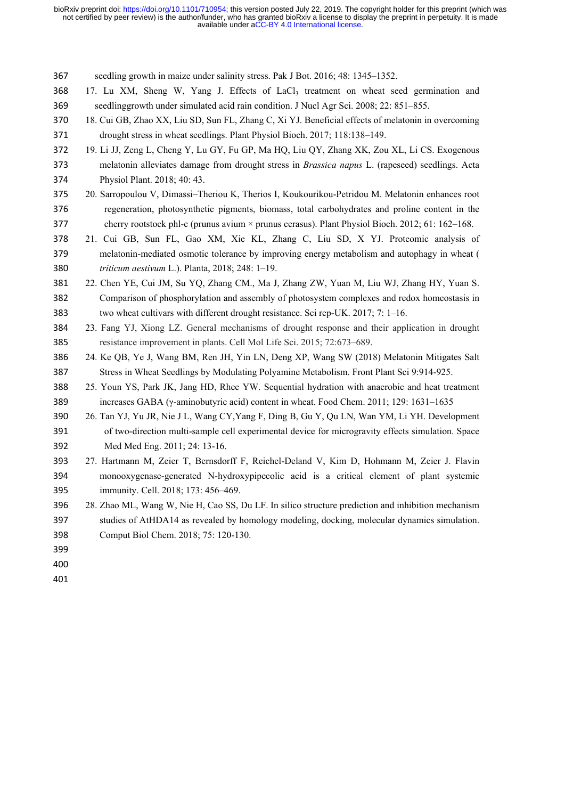seedling growth in maize under salinity stress. Pak J Bot. 2016; 48: 1345–1352.

- 368 17. Lu XM, Sheng W, Yang J. Effects of LaCl<sub>3</sub> treatment on wheat seed germination and seedlinggrowth under simulated acid rain condition. J Nucl Agr Sci. 2008; 22: 851–855.
- 18. Cui GB, Zhao XX, Liu SD, Sun FL, Zhang C, Xi YJ. Beneficial effects of melatonin in overcoming drought stress in wheat seedlings. Plant Physiol Bioch. 2017; 118:138–149.
- 19. Li JJ, Zeng L, Cheng Y, Lu GY, Fu GP, Ma HQ, Liu QY, Zhang XK, Zou XL, Li CS. Exogenous melatonin alleviates damage from drought stress in *Brassica napus* L. (rapeseed) seedlings. Acta Physiol Plant. 2018; 40: 43.
- 20. Sarropoulou V, Dimassi–Theriou K, Therios I, Koukourikou-Petridou M. Melatonin enhances root regeneration, photosynthetic pigments, biomass, total carbohydrates and proline content in the cherry rootstock phl-c (prunus avium × prunus cerasus). Plant Physiol Bioch. 2012; 61: 162–168.
- 21. Cui GB, Sun FL, Gao XM, Xie KL, Zhang C, Liu SD, X YJ. Proteomic analysis of melatonin-mediated osmotic tolerance by improving energy metabolism and autophagy in wheat ( *triticum aestivum* L.). Planta, 2018; 248: 1–19.
- 22. Chen YE, Cui JM, Su YQ, Zhang CM., Ma J, Zhang ZW, Yuan M, Liu WJ, Zhang HY, Yuan S. Comparison of phosphorylation and assembly of photosystem complexes and redox homeostasis in two wheat cultivars with different drought resistance. Sci rep-UK. 2017; 7: 1–16.
- 23. Fang YJ, Xiong LZ. General mechanisms of drought response and their application in drought resistance improvement in plants. Cell Mol Life Sci. 2015; 72:673–689.
- 24. Ke QB, Ye J, Wang BM, Ren JH, Yin LN, Deng XP, Wang SW (2018) Melatonin Mitigates Salt Stress in Wheat Seedlings by Modulating Polyamine Metabolism. Front Plant Sci 9:914-925.
- 25. Youn YS, Park JK, Jang HD, Rhee YW. Sequential hydration with anaerobic and heat treatment increases GABA (γ-aminobutyric acid) content in wheat. Food Chem. 2011; 129: 1631–1635
- 26. Tan YJ, Yu JR, Nie J L, Wang CY,Yang F, Ding B, Gu Y, Qu LN, Wan YM, Li YH. Development of two-direction multi-sample cell experimental device for microgravity effects simulation. Space Med Med Eng. 2011; 24: 13-16.
- 27. Hartmann M, Zeier T, Bernsdorff F, Reichel-Deland V, Kim D, Hohmann M, Zeier J. Flavin monooxygenase-generated N-hydroxypipecolic acid is a critical element of plant systemic immunity. Cell. 2018; 173: 456–469.
- 28. Zhao ML, Wang W, Nie H, Cao SS, Du LF. In silico structure prediction and inhibition mechanism studies of AtHDA14 as revealed by homology modeling, docking, molecular dynamics simulation. Comput Biol Chem. 2018; 75: 120-130.
- 
- 
-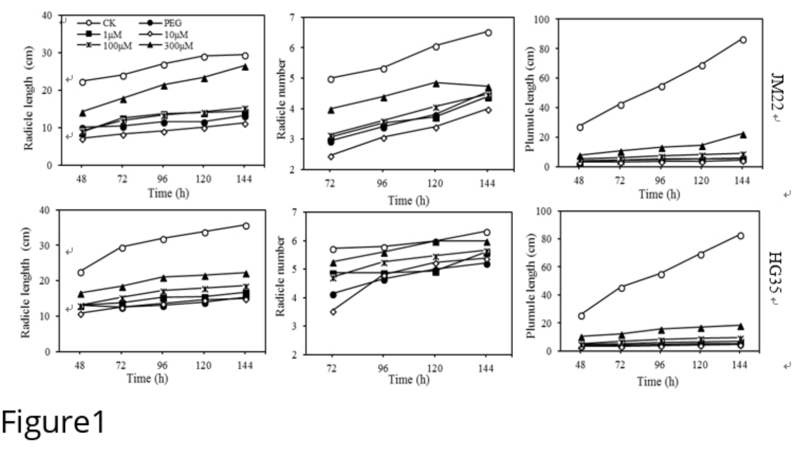

Figure1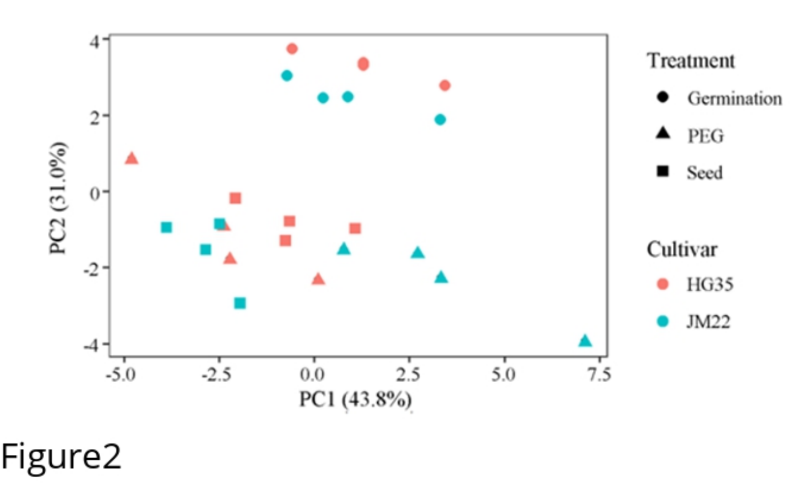

Figure2